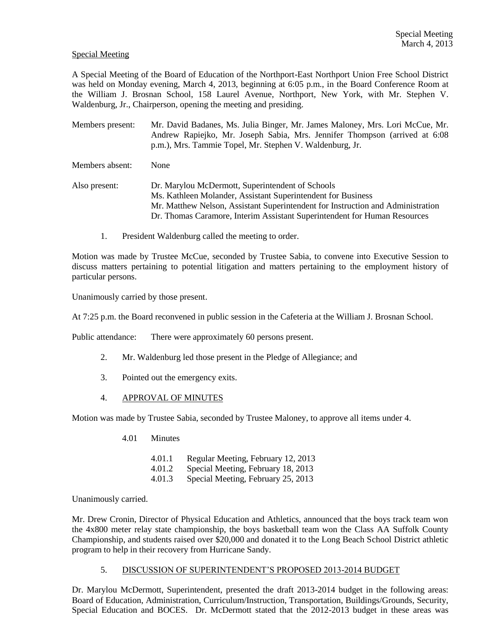## Special Meeting

A Special Meeting of the Board of Education of the Northport-East Northport Union Free School District was held on Monday evening, March 4, 2013, beginning at 6:05 p.m., in the Board Conference Room at the William J. Brosnan School, 158 Laurel Avenue, Northport, New York, with Mr. Stephen V. Waldenburg, Jr., Chairperson, opening the meeting and presiding.

Members present: Mr. David Badanes, Ms. Julia Binger, Mr. James Maloney, Mrs. Lori McCue, Mr. Andrew Rapiejko, Mr. Joseph Sabia, Mrs. Jennifer Thompson (arrived at 6:08 p.m.), Mrs. Tammie Topel, Mr. Stephen V. Waldenburg, Jr.

Members absent: None

Also present: Dr. Marylou McDermott, Superintendent of Schools Ms. Kathleen Molander, Assistant Superintendent for Business Mr. Matthew Nelson, Assistant Superintendent for Instruction and Administration Dr. Thomas Caramore, Interim Assistant Superintendent for Human Resources

1. President Waldenburg called the meeting to order.

Motion was made by Trustee McCue, seconded by Trustee Sabia, to convene into Executive Session to discuss matters pertaining to potential litigation and matters pertaining to the employment history of particular persons.

Unanimously carried by those present.

At 7:25 p.m. the Board reconvened in public session in the Cafeteria at the William J. Brosnan School.

Public attendance: There were approximately 60 persons present.

- 2. Mr. Waldenburg led those present in the Pledge of Allegiance; and
- 3. Pointed out the emergency exits.
- 4. APPROVAL OF MINUTES

Motion was made by Trustee Sabia, seconded by Trustee Maloney, to approve all items under 4.

4.01 Minutes

4.01.1 Regular Meeting, February 12, 2013 4.01.2 Special Meeting, February 18, 2013

4.01.3 Special Meeting, February 25, 2013

Unanimously carried.

Mr. Drew Cronin, Director of Physical Education and Athletics, announced that the boys track team won the 4x800 meter relay state championship, the boys basketball team won the Class AA Suffolk County Championship, and students raised over \$20,000 and donated it to the Long Beach School District athletic program to help in their recovery from Hurricane Sandy.

#### 5. DISCUSSION OF SUPERINTENDENT'S PROPOSED 2013-2014 BUDGET

Dr. Marylou McDermott, Superintendent, presented the draft 2013-2014 budget in the following areas: Board of Education, Administration, Curriculum/Instruction, Transportation, Buildings/Grounds, Security, Special Education and BOCES. Dr. McDermott stated that the 2012-2013 budget in these areas was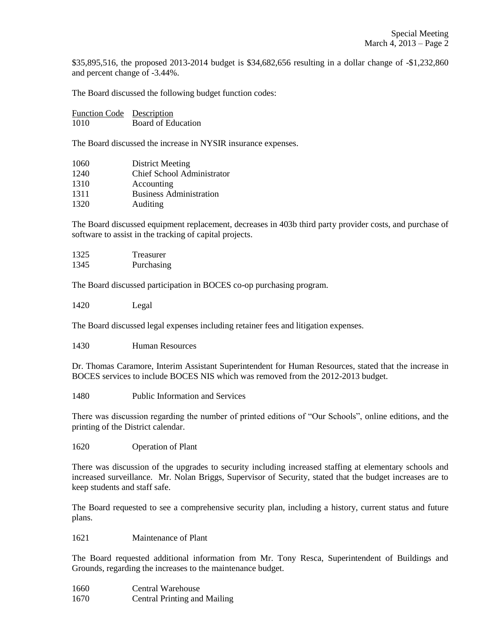\$35,895,516, the proposed 2013-2014 budget is \$34,682,656 resulting in a dollar change of -\$1,232,860 and percent change of -3.44%.

The Board discussed the following budget function codes:

| Function Code Description |                    |
|---------------------------|--------------------|
| 1010                      | Board of Education |

The Board discussed the increase in NYSIR insurance expenses.

| 1060 | District Meeting                  |
|------|-----------------------------------|
| 1240 | <b>Chief School Administrator</b> |
| 1310 | Accounting                        |
| 1311 | <b>Business Administration</b>    |
| 1320 | Auditing                          |

The Board discussed equipment replacement, decreases in 403b third party provider costs, and purchase of software to assist in the tracking of capital projects.

| 1325 | Treasurer  |
|------|------------|
| 1345 | Purchasing |

The Board discussed participation in BOCES co-op purchasing program.

1420 Legal

The Board discussed legal expenses including retainer fees and litigation expenses.

1430 Human Resources

Dr. Thomas Caramore, Interim Assistant Superintendent for Human Resources, stated that the increase in BOCES services to include BOCES NIS which was removed from the 2012-2013 budget.

1480 Public Information and Services

There was discussion regarding the number of printed editions of "Our Schools", online editions, and the printing of the District calendar.

1620 Operation of Plant

There was discussion of the upgrades to security including increased staffing at elementary schools and increased surveillance. Mr. Nolan Briggs, Supervisor of Security, stated that the budget increases are to keep students and staff safe.

The Board requested to see a comprehensive security plan, including a history, current status and future plans.

1621 Maintenance of Plant

The Board requested additional information from Mr. Tony Resca, Superintendent of Buildings and Grounds, regarding the increases to the maintenance budget.

- 1660 Central Warehouse
- 1670 Central Printing and Mailing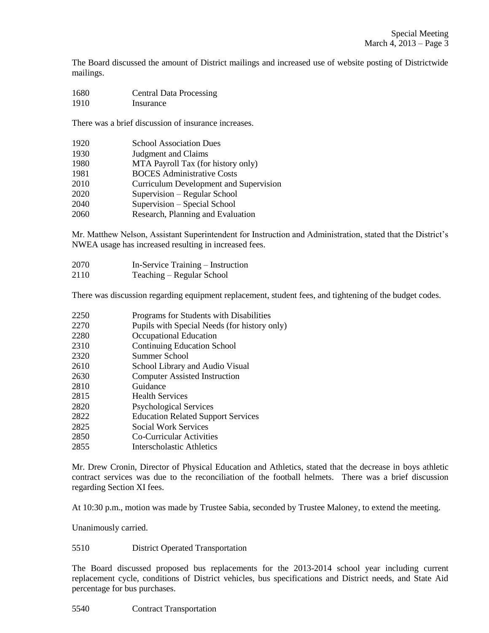The Board discussed the amount of District mailings and increased use of website posting of Districtwide mailings.

 Central Data Processing Insurance

There was a brief discussion of insurance increases.

| 1920 | <b>School Association Dues</b>         |
|------|----------------------------------------|
| 1930 | Judgment and Claims                    |
| 1980 | MTA Payroll Tax (for history only)     |
| 1981 | <b>BOCES</b> Administrative Costs      |
| 2010 | Curriculum Development and Supervision |
| 2020 | Supervision – Regular School           |
| 2040 | Supervision - Special School           |
| 2060 | Research, Planning and Evaluation      |

Mr. Matthew Nelson, Assistant Superintendent for Instruction and Administration, stated that the District's NWEA usage has increased resulting in increased fees.

- In-Service Training Instruction
- Teaching Regular School

There was discussion regarding equipment replacement, student fees, and tightening of the budget codes.

- Programs for Students with Disabilities
- Pupils with Special Needs (for history only)
- Occupational Education
- Continuing Education School
- Summer School
- School Library and Audio Visual
- Computer Assisted Instruction
- Guidance
- Health Services
- Psychological Services
- Education Related Support Services
- Social Work Services
- Co-Curricular Activities
- Interscholastic Athletics

Mr. Drew Cronin, Director of Physical Education and Athletics, stated that the decrease in boys athletic contract services was due to the reconciliation of the football helmets. There was a brief discussion regarding Section XI fees.

At 10:30 p.m., motion was made by Trustee Sabia, seconded by Trustee Maloney, to extend the meeting.

Unanimously carried.

#### District Operated Transportation

The Board discussed proposed bus replacements for the 2013-2014 school year including current replacement cycle, conditions of District vehicles, bus specifications and District needs, and State Aid percentage for bus purchases.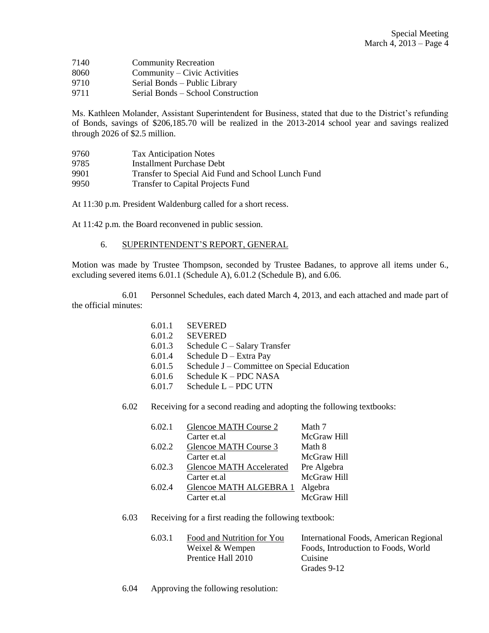- 7140 Community Recreation
- 8060 Community Civic Activities
- 9710 Serial Bonds Public Library
- 9711 Serial Bonds School Construction

Ms. Kathleen Molander, Assistant Superintendent for Business, stated that due to the District's refunding of Bonds, savings of \$206,185.70 will be realized in the 2013-2014 school year and savings realized through 2026 of \$2.5 million.

| 9760 | <b>Tax Anticipation Notes</b>                      |
|------|----------------------------------------------------|
| 9785 | Installment Purchase Debt                          |
| 9901 | Transfer to Special Aid Fund and School Lunch Fund |
| 9950 | <b>Transfer to Capital Projects Fund</b>           |

At 11:30 p.m. President Waldenburg called for a short recess.

At 11:42 p.m. the Board reconvened in public session.

6. SUPERINTENDENT'S REPORT, GENERAL

Motion was made by Trustee Thompson, seconded by Trustee Badanes, to approve all items under 6., excluding severed items 6.01.1 (Schedule A), 6.01.2 (Schedule B), and 6.06.

6.01 Personnel Schedules, each dated March 4, 2013, and each attached and made part of the official minutes:

| 6.01.1            | <b>SEVERED</b> |
|-------------------|----------------|
| $\sim$ 0.1 $\sim$ | GPIIDED        |

- 6.01.2 SEVERED
- 6.01.3 Schedule C Salary Transfer
- 6.01.4 Schedule D Extra Pay
- 6.01.5 Schedule J Committee on Special Education
- 6.01.6 Schedule K PDC NASA
- 6.01.7 Schedule L PDC UTN
- 6.02 Receiving for a second reading and adopting the following textbooks:

| 6.02.1 | Glencoe MATH Course 2           | Math 7      |
|--------|---------------------------------|-------------|
|        | Carter et al                    | McGraw Hill |
| 6.02.2 | Glencoe MATH Course 3           | Math 8      |
|        | Carter et al                    | McGraw Hill |
| 6.02.3 | <b>Glencoe MATH Accelerated</b> | Pre Algebra |
|        | Carter et al                    | McGraw Hill |
| 6.02.4 | Glencoe MATH ALGEBRA 1          | Algebra     |
|        | Carter et al                    | McGraw Hill |
|        |                                 |             |

#### 6.03 Receiving for a first reading the following textbook:

| 6.03.1 | Food and Nutrition for You | International Foods, American Regional |
|--------|----------------------------|----------------------------------------|
|        | Weixel & Wempen            | Foods. Introduction to Foods. World    |
|        | Prentice Hall 2010         | Cuisine                                |
|        |                            | Grades 9-12                            |

6.04 Approving the following resolution: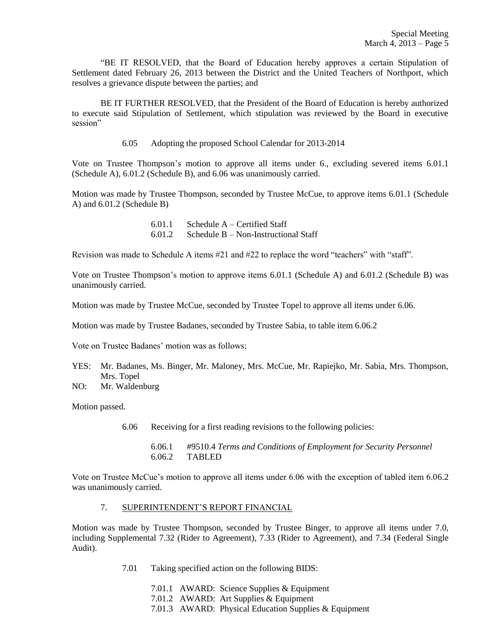"BE IT RESOLVED, that the Board of Education hereby approves a certain Stipulation of Settlement dated February 26, 2013 between the District and the United Teachers of Northport, which resolves a grievance dispute between the parties; and

BE IT FURTHER RESOLVED, that the President of the Board of Education is hereby authorized to execute said Stipulation of Settlement, which stipulation was reviewed by the Board in executive session"

6.05 Adopting the proposed School Calendar for 2013-2014

Vote on Trustee Thompson's motion to approve all items under 6., excluding severed items 6.01.1 (Schedule A), 6.01.2 (Schedule B), and 6.06 was unanimously carried.

Motion was made by Trustee Thompson, seconded by Trustee McCue, to approve items 6.01.1 (Schedule A) and 6.01.2 (Schedule B)

| 6.01.1 | Schedule $A -$ Certified Staff       |
|--------|--------------------------------------|
| 6.01.2 | Schedule B – Non-Instructional Staff |

Revision was made to Schedule A items #21 and #22 to replace the word "teachers" with "staff".

Vote on Trustee Thompson's motion to approve items 6.01.1 (Schedule A) and 6.01.2 (Schedule B) was unanimously carried.

Motion was made by Trustee McCue, seconded by Trustee Topel to approve all items under 6.06.

Motion was made by Trustee Badanes, seconded by Trustee Sabia, to table item 6.06.2

Vote on Trustee Badanes' motion was as follows:

- YES: Mr. Badanes, Ms. Binger, Mr. Maloney, Mrs. McCue, Mr. Rapiejko, Mr. Sabia, Mrs. Thompson, Mrs. Topel
- NO: Mr. Waldenburg

Motion passed.

- 6.06 Receiving for a first reading revisions to the following policies:
	- 6.06.1 #9510.4 *Terms and Conditions of Employment for Security Personnel* 6.06.2 TABLED

Vote on Trustee McCue's motion to approve all items under 6.06 with the exception of tabled item 6.06.2 was unanimously carried.

## 7. SUPERINTENDENT'S REPORT FINANCIAL

Motion was made by Trustee Thompson, seconded by Trustee Binger, to approve all items under 7.0, including Supplemental 7.32 (Rider to Agreement), 7.33 (Rider to Agreement), and 7.34 (Federal Single Audit).

- 7.01 Taking specified action on the following BIDS:
	- 7.01.1 AWARD: Science Supplies & Equipment
	- 7.01.2 AWARD: Art Supplies & Equipment
	- 7.01.3 AWARD: Physical Education Supplies & Equipment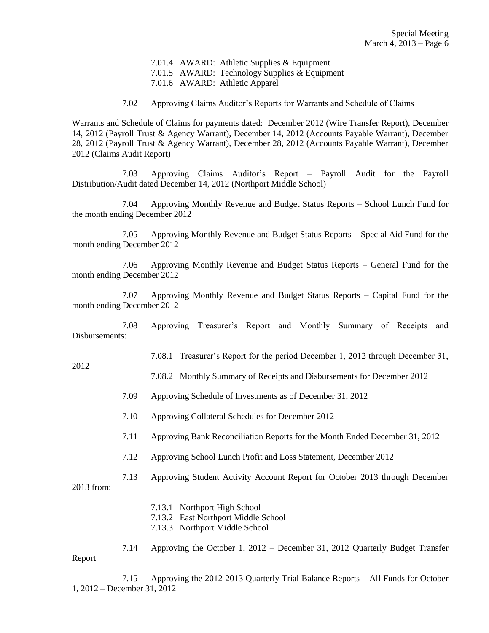7.01.4 AWARD: Athletic Supplies & Equipment 7.01.5 AWARD: Technology Supplies & Equipment 7.01.6 AWARD: Athletic Apparel

7.02 Approving Claims Auditor's Reports for Warrants and Schedule of Claims

Warrants and Schedule of Claims for payments dated: December 2012 (Wire Transfer Report), December 14, 2012 (Payroll Trust & Agency Warrant), December 14, 2012 (Accounts Payable Warrant), December 28, 2012 (Payroll Trust & Agency Warrant), December 28, 2012 (Accounts Payable Warrant), December 2012 (Claims Audit Report)

7.03 Approving Claims Auditor's Report – Payroll Audit for the Payroll Distribution/Audit dated December 14, 2012 (Northport Middle School)

7.04 Approving Monthly Revenue and Budget Status Reports – School Lunch Fund for the month ending December 2012

7.05 Approving Monthly Revenue and Budget Status Reports – Special Aid Fund for the month ending December 2012

7.06 Approving Monthly Revenue and Budget Status Reports – General Fund for the month ending December 2012

7.07 Approving Monthly Revenue and Budget Status Reports – Capital Fund for the month ending December 2012

7.08 Approving Treasurer's Report and Monthly Summary of Receipts and Disbursements:

7.08.1 Treasurer's Report for the period December 1, 2012 through December 31,

7.08.2 Monthly Summary of Receipts and Disbursements for December 2012

- 7.09 Approving Schedule of Investments as of December 31, 2012
- 7.10 Approving Collateral Schedules for December 2012
- 7.11 Approving Bank Reconciliation Reports for the Month Ended December 31, 2012
- 7.12 Approving School Lunch Profit and Loss Statement, December 2012

7.13 Approving Student Activity Account Report for October 2013 through December 2013 from:

- 7.13.1 Northport High School
- 7.13.2 East Northport Middle School
- 7.13.3 Northport Middle School

7.14 Approving the October 1, 2012 – December 31, 2012 Quarterly Budget Transfer Report

7.15 Approving the 2012-2013 Quarterly Trial Balance Reports – All Funds for October 1, 2012 – December 31, 2012

# 2012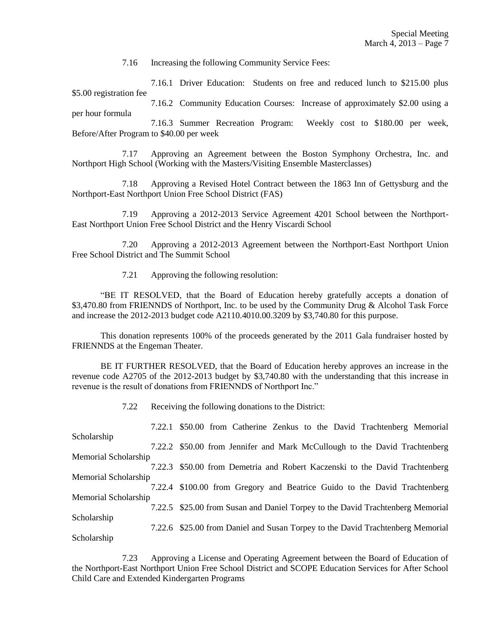7.16 Increasing the following Community Service Fees:

7.16.1 Driver Education: Students on free and reduced lunch to \$215.00 plus \$5.00 registration fee

7.16.2 Community Education Courses: Increase of approximately \$2.00 using a per hour formula

7.16.3 Summer Recreation Program: Weekly cost to \$180.00 per week, Before/After Program to \$40.00 per week

7.17 Approving an Agreement between the Boston Symphony Orchestra, Inc. and Northport High School (Working with the Masters/Visiting Ensemble Masterclasses)

7.18 Approving a Revised Hotel Contract between the 1863 Inn of Gettysburg and the Northport-East Northport Union Free School District (FAS)

7.19 Approving a 2012-2013 Service Agreement 4201 School between the Northport-East Northport Union Free School District and the Henry Viscardi School

7.20 Approving a 2012-2013 Agreement between the Northport-East Northport Union Free School District and The Summit School

7.21 Approving the following resolution:

"BE IT RESOLVED, that the Board of Education hereby gratefully accepts a donation of \$3,470.80 from FRIENNDS of Northport, Inc. to be used by the Community Drug & Alcohol Task Force and increase the 2012-2013 budget code A2110.4010.00.3209 by \$3,740.80 for this purpose.

This donation represents 100% of the proceeds generated by the 2011 Gala fundraiser hosted by FRIENNDS at the Engeman Theater.

BE IT FURTHER RESOLVED, that the Board of Education hereby approves an increase in the revenue code A2705 of the 2012-2013 budget by \$3,740.80 with the understanding that this increase in revenue is the result of donations from FRIENNDS of Northport Inc."

7.22 Receiving the following donations to the District:

|                      | 7.22.1 \$50.00 from Catherine Zenkus to the David Trachtenberg Memorial        |
|----------------------|--------------------------------------------------------------------------------|
| Scholarship          |                                                                                |
|                      | 7.22.2 \$50.00 from Jennifer and Mark McCullough to the David Trachtenberg     |
| Memorial Scholarship |                                                                                |
|                      | 7.22.3 \$50.00 from Demetria and Robert Kaczenski to the David Trachtenberg    |
| Memorial Scholarship |                                                                                |
|                      | 7.22.4 \$100.00 from Gregory and Beatrice Guido to the David Trachtenberg      |
| Memorial Scholarship |                                                                                |
|                      | 7.22.5 \$25.00 from Susan and Daniel Torpey to the David Trachtenberg Memorial |
| Scholarship          |                                                                                |
|                      | 7.22.6 \$25.00 from Daniel and Susan Torpey to the David Trachtenberg Memorial |
| Scholarship          |                                                                                |

7.23 Approving a License and Operating Agreement between the Board of Education of the Northport-East Northport Union Free School District and SCOPE Education Services for After School Child Care and Extended Kindergarten Programs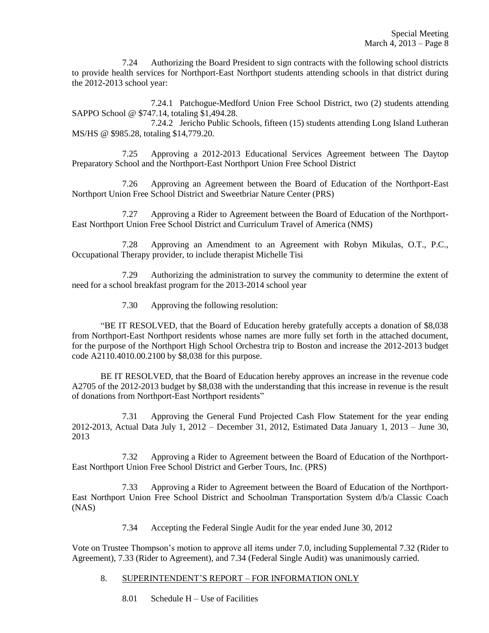7.24 Authorizing the Board President to sign contracts with the following school districts to provide health services for Northport-East Northport students attending schools in that district during the 2012-2013 school year:

7.24.1 Patchogue-Medford Union Free School District, two (2) students attending SAPPO School @ \$747.14, totaling \$1,494.28.

7.24.2 Jericho Public Schools, fifteen (15) students attending Long Island Lutheran MS/HS @ \$985.28, totaling \$14,779.20.

7.25 Approving a 2012-2013 Educational Services Agreement between The Daytop Preparatory School and the Northport-East Northport Union Free School District

7.26 Approving an Agreement between the Board of Education of the Northport-East Northport Union Free School District and Sweetbriar Nature Center (PRS)

7.27 Approving a Rider to Agreement between the Board of Education of the Northport-East Northport Union Free School District and Curriculum Travel of America (NMS)

7.28 Approving an Amendment to an Agreement with Robyn Mikulas, O.T., P.C., Occupational Therapy provider, to include therapist Michelle Tisi

7.29 Authorizing the administration to survey the community to determine the extent of need for a school breakfast program for the 2013-2014 school year

7.30 Approving the following resolution:

"BE IT RESOLVED, that the Board of Education hereby gratefully accepts a donation of \$8,038 from Northport-East Northport residents whose names are more fully set forth in the attached document, for the purpose of the Northport High School Orchestra trip to Boston and increase the 2012-2013 budget code A2110.4010.00.2100 by \$8,038 for this purpose.

BE IT RESOLVED, that the Board of Education hereby approves an increase in the revenue code A2705 of the 2012-2013 budget by \$8,038 with the understanding that this increase in revenue is the result of donations from Northport-East Northport residents"

7.31 Approving the General Fund Projected Cash Flow Statement for the year ending 2012-2013, Actual Data July 1, 2012 – December 31, 2012, Estimated Data January 1, 2013 – June 30, 2013

7.32 Approving a Rider to Agreement between the Board of Education of the Northport-East Northport Union Free School District and Gerber Tours, Inc. (PRS)

7.33 Approving a Rider to Agreement between the Board of Education of the Northport-East Northport Union Free School District and Schoolman Transportation System d/b/a Classic Coach (NAS)

7.34 Accepting the Federal Single Audit for the year ended June 30, 2012

Vote on Trustee Thompson's motion to approve all items under 7.0, including Supplemental 7.32 (Rider to Agreement), 7.33 (Rider to Agreement), and 7.34 (Federal Single Audit) was unanimously carried.

## 8. SUPERINTENDENT'S REPORT – FOR INFORMATION ONLY

8.01 Schedule H – Use of Facilities